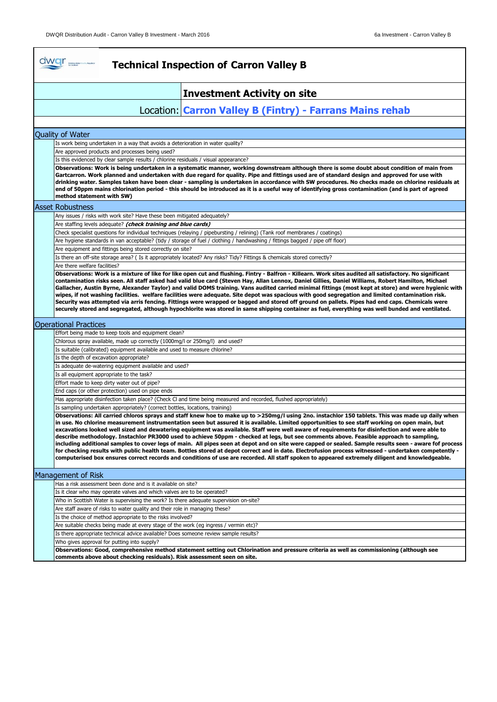| dwar and the books<br><b>Technical Inspection of Carron Valley B</b>                                                                                                                                                                                                                                                                                                                                                                                                                                                                                                                                                                                                                                                                                                                                                                                                                                                                                                                                                                                                  |
|-----------------------------------------------------------------------------------------------------------------------------------------------------------------------------------------------------------------------------------------------------------------------------------------------------------------------------------------------------------------------------------------------------------------------------------------------------------------------------------------------------------------------------------------------------------------------------------------------------------------------------------------------------------------------------------------------------------------------------------------------------------------------------------------------------------------------------------------------------------------------------------------------------------------------------------------------------------------------------------------------------------------------------------------------------------------------|
| <b>Investment Activity on site</b>                                                                                                                                                                                                                                                                                                                                                                                                                                                                                                                                                                                                                                                                                                                                                                                                                                                                                                                                                                                                                                    |
| Location: Carron Valley B (Fintry) - Farrans Mains rehab                                                                                                                                                                                                                                                                                                                                                                                                                                                                                                                                                                                                                                                                                                                                                                                                                                                                                                                                                                                                              |
|                                                                                                                                                                                                                                                                                                                                                                                                                                                                                                                                                                                                                                                                                                                                                                                                                                                                                                                                                                                                                                                                       |
| Quality of Water                                                                                                                                                                                                                                                                                                                                                                                                                                                                                                                                                                                                                                                                                                                                                                                                                                                                                                                                                                                                                                                      |
| Is work being undertaken in a way that avoids a deterioration in water quality?                                                                                                                                                                                                                                                                                                                                                                                                                                                                                                                                                                                                                                                                                                                                                                                                                                                                                                                                                                                       |
| Are approved products and processes being used?                                                                                                                                                                                                                                                                                                                                                                                                                                                                                                                                                                                                                                                                                                                                                                                                                                                                                                                                                                                                                       |
| Is this evidenced by clear sample results / chlorine residuals / visual appearance?                                                                                                                                                                                                                                                                                                                                                                                                                                                                                                                                                                                                                                                                                                                                                                                                                                                                                                                                                                                   |
| Observations: Work is being undertaken in a systematic manner, working downstream although there is some doubt about condition of main from<br>Gartcarron. Work planned and undertaken with due regard for quality. Pipe and fittings used are of standard design and approved for use with<br>drinking water. Samples taken have been clear - sampling is undertaken in accordance with SW procedures. No checks made on chlorine residuals at<br>end of 50ppm mains chlorination period - this should be introduced as it is a useful way of identifying gross contamination (and is part of agreed<br>method statement with SW)                                                                                                                                                                                                                                                                                                                                                                                                                                    |
| <b>Asset Robustness</b>                                                                                                                                                                                                                                                                                                                                                                                                                                                                                                                                                                                                                                                                                                                                                                                                                                                                                                                                                                                                                                               |
| Any issues / risks with work site? Have these been mitigated adequately?                                                                                                                                                                                                                                                                                                                                                                                                                                                                                                                                                                                                                                                                                                                                                                                                                                                                                                                                                                                              |
| Are staffing levels adequate? (check training and blue cards)                                                                                                                                                                                                                                                                                                                                                                                                                                                                                                                                                                                                                                                                                                                                                                                                                                                                                                                                                                                                         |
| Check specialist questions for individual techniques (relaying / pipebursting / relining) (Tank roof membranes / coatings)                                                                                                                                                                                                                                                                                                                                                                                                                                                                                                                                                                                                                                                                                                                                                                                                                                                                                                                                            |
| Are hygiene standards in van acceptable? (tidy / storage of fuel / clothing / handwashing / fittings bagged / pipe off floor)                                                                                                                                                                                                                                                                                                                                                                                                                                                                                                                                                                                                                                                                                                                                                                                                                                                                                                                                         |
| Are equipment and fittings being stored correctly on site?                                                                                                                                                                                                                                                                                                                                                                                                                                                                                                                                                                                                                                                                                                                                                                                                                                                                                                                                                                                                            |
| Is there an off-site storage area? (Is it appropriately located? Any risks? Tidy? Fittings & chemicals stored correctly?                                                                                                                                                                                                                                                                                                                                                                                                                                                                                                                                                                                                                                                                                                                                                                                                                                                                                                                                              |
| Are there welfare facilities?                                                                                                                                                                                                                                                                                                                                                                                                                                                                                                                                                                                                                                                                                                                                                                                                                                                                                                                                                                                                                                         |
| Security was attempted via arris fencing. Fittings were wrapped or bagged and stored off ground on pallets. Pipes had end caps. Chemicals were<br>securely stored and segregated, although hypochlorite was stored in same shipping container as fuel, everything was well bunded and ventilated.                                                                                                                                                                                                                                                                                                                                                                                                                                                                                                                                                                                                                                                                                                                                                                     |
| <b>Operational Practices</b>                                                                                                                                                                                                                                                                                                                                                                                                                                                                                                                                                                                                                                                                                                                                                                                                                                                                                                                                                                                                                                          |
| Effort being made to keep tools and equipment clean?                                                                                                                                                                                                                                                                                                                                                                                                                                                                                                                                                                                                                                                                                                                                                                                                                                                                                                                                                                                                                  |
| Chlorous spray available, made up correctly (1000mg/l or 250mg/l) and used?                                                                                                                                                                                                                                                                                                                                                                                                                                                                                                                                                                                                                                                                                                                                                                                                                                                                                                                                                                                           |
| Is suitable (calibrated) equipment available and used to measure chlorine?                                                                                                                                                                                                                                                                                                                                                                                                                                                                                                                                                                                                                                                                                                                                                                                                                                                                                                                                                                                            |
| Is the depth of excavation appropriate?<br>Is adequate de-watering equipment available and used?                                                                                                                                                                                                                                                                                                                                                                                                                                                                                                                                                                                                                                                                                                                                                                                                                                                                                                                                                                      |
| Is all equipment appropriate to the task?                                                                                                                                                                                                                                                                                                                                                                                                                                                                                                                                                                                                                                                                                                                                                                                                                                                                                                                                                                                                                             |
| Effort made to keep dirty water out of pipe?                                                                                                                                                                                                                                                                                                                                                                                                                                                                                                                                                                                                                                                                                                                                                                                                                                                                                                                                                                                                                          |
| End caps (or other protection) used on pipe ends                                                                                                                                                                                                                                                                                                                                                                                                                                                                                                                                                                                                                                                                                                                                                                                                                                                                                                                                                                                                                      |
| Has appropriate disinfection taken place? (Check Cl and time being measured and recorded, flushed appropriately)                                                                                                                                                                                                                                                                                                                                                                                                                                                                                                                                                                                                                                                                                                                                                                                                                                                                                                                                                      |
| Is sampling undertaken appropriately? (correct bottles, locations, training)                                                                                                                                                                                                                                                                                                                                                                                                                                                                                                                                                                                                                                                                                                                                                                                                                                                                                                                                                                                          |
| Observations: All carried chloros sprays and staff knew hoe to make up to >250mg/l using 2no. instachlor 150 tablets. This was made up daily when<br>in use. No chlorine measurement instrumentation seen but assured it is available. Limited opportunities to see staff working on open main, but<br>excavations looked well sized and dewatering equipment was available. Staff were well aware of requirements for disinfection and were able to<br>describe methodology. Instachlor PR3000 used to achieve 50ppm - checked at legs, but see comments above. Feasible approach to sampling,<br>including additional samples to cover legs of main. All pipes seen at depot and on site were capped or sealed. Sample results seen - aware fof process<br>for checking results with public health team. Bottles stored at depot correct and in date. Electrofusion process witnessed - undertaken competently -<br>computerised box ensures correct records and conditions of use are recorded. All staff spoken to appeared extremely diligent and knowledgeable. |
| Management of Risk                                                                                                                                                                                                                                                                                                                                                                                                                                                                                                                                                                                                                                                                                                                                                                                                                                                                                                                                                                                                                                                    |
| Has a risk assessment been done and is it available on site?                                                                                                                                                                                                                                                                                                                                                                                                                                                                                                                                                                                                                                                                                                                                                                                                                                                                                                                                                                                                          |
| Is it clear who may operate valves and which valves are to be operated?                                                                                                                                                                                                                                                                                                                                                                                                                                                                                                                                                                                                                                                                                                                                                                                                                                                                                                                                                                                               |
| Who in Scottish Water is supervising the work? Is there adequate supervision on-site?                                                                                                                                                                                                                                                                                                                                                                                                                                                                                                                                                                                                                                                                                                                                                                                                                                                                                                                                                                                 |
| Are staff aware of risks to water quality and their role in managing these?                                                                                                                                                                                                                                                                                                                                                                                                                                                                                                                                                                                                                                                                                                                                                                                                                                                                                                                                                                                           |
| Is the choice of method appropriate to the risks involved?                                                                                                                                                                                                                                                                                                                                                                                                                                                                                                                                                                                                                                                                                                                                                                                                                                                                                                                                                                                                            |
| Are suitable checks being made at every stage of the work (eg ingress / vermin etc)?                                                                                                                                                                                                                                                                                                                                                                                                                                                                                                                                                                                                                                                                                                                                                                                                                                                                                                                                                                                  |
| Is there appropriate technical advice available? Does someone review sample results?                                                                                                                                                                                                                                                                                                                                                                                                                                                                                                                                                                                                                                                                                                                                                                                                                                                                                                                                                                                  |
| Who gives approval for putting into supply?                                                                                                                                                                                                                                                                                                                                                                                                                                                                                                                                                                                                                                                                                                                                                                                                                                                                                                                                                                                                                           |
| Observations: Good, comprehensive method statement setting out Chlorination and pressure criteria as well as commissioning (although see<br>comments above about checking residuals). Risk assessment seen on site.                                                                                                                                                                                                                                                                                                                                                                                                                                                                                                                                                                                                                                                                                                                                                                                                                                                   |